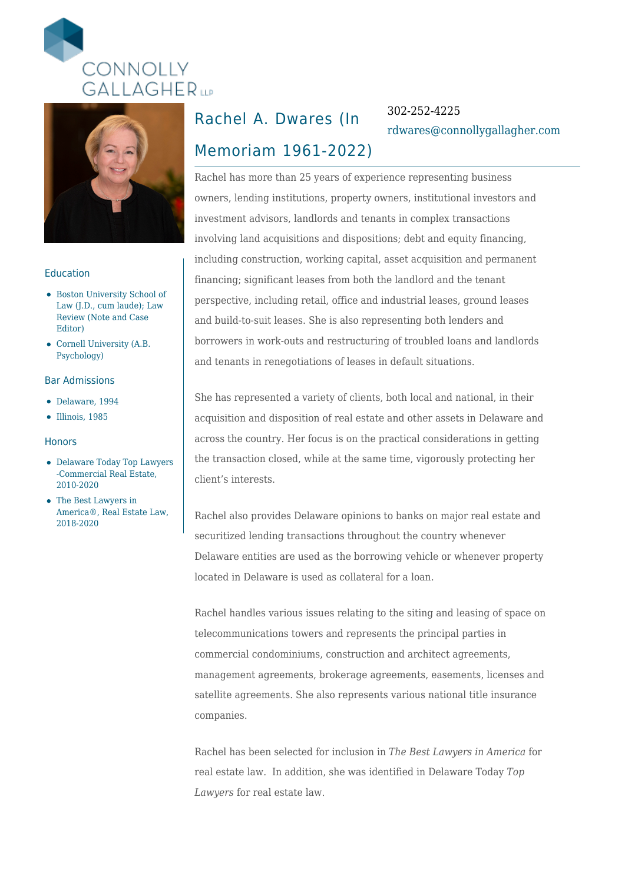



### Education

- Boston University School of Law (J.D., cum laude); Law Review (Note and Case Editor)
- Cornell University (A.B. Psychology)

#### Bar Admissions

- Delaware, 1994
- $\bullet$  Illinois, 1985

#### **Honors**

- Delaware Today Top Lawyers -Commercial Real Estate, 2010-2020
- The Best Lawyers in America®, Real Estate Law, 2018-2020

### Rachel A. Dwares (In

### 302-252-4225 [rdwares@connollygallagher.com](mailto:rdwares@connollygallagher.com)

## Memoriam 1961-2022)

Rachel has more than 25 years of experience representing business owners, lending institutions, property owners, institutional investors and investment advisors, landlords and tenants in complex transactions involving land acquisitions and dispositions; debt and equity financing, including construction, working capital, asset acquisition and permanent financing; significant leases from both the landlord and the tenant perspective, including retail, office and industrial leases, ground leases and build-to-suit leases. She is also representing both lenders and borrowers in work-outs and restructuring of troubled loans and landlords and tenants in renegotiations of leases in default situations.

She has represented a variety of clients, both local and national, in their acquisition and disposition of real estate and other assets in Delaware and across the country. Her focus is on the practical considerations in getting the transaction closed, while at the same time, vigorously protecting her client's interests.

Rachel also provides Delaware opinions to banks on major real estate and securitized lending transactions throughout the country whenever Delaware entities are used as the borrowing vehicle or whenever property located in Delaware is used as collateral for a loan.

Rachel handles various issues relating to the siting and leasing of space on telecommunications towers and represents the principal parties in commercial condominiums, construction and architect agreements, management agreements, brokerage agreements, easements, licenses and satellite agreements. She also represents various national title insurance companies.

Rachel has been selected for inclusion in *The Best Lawyers in America* for real estate law. In addition, she was identified in Delaware Today *Top Lawyers* for real estate law.